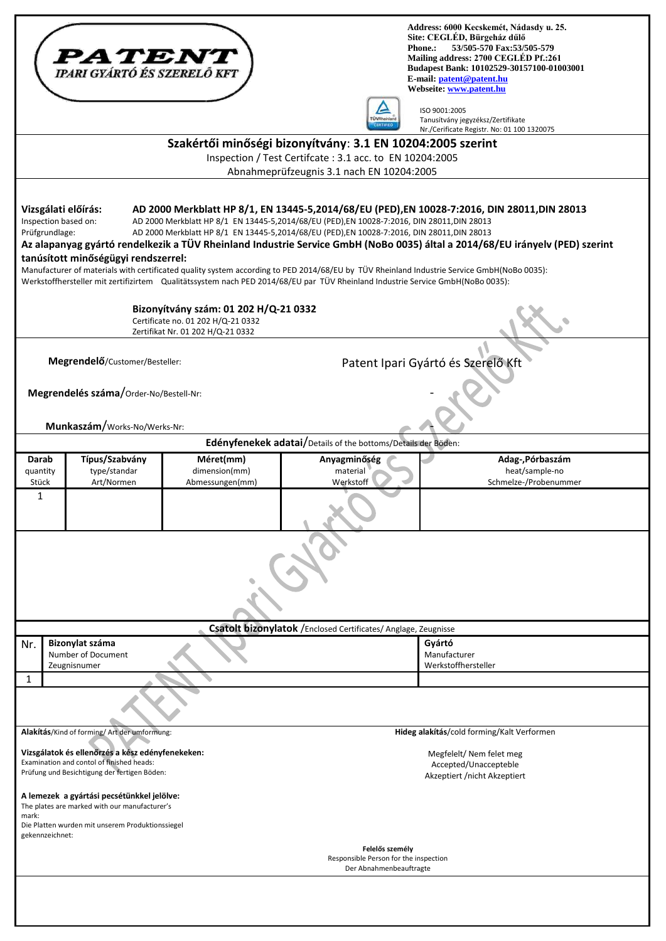|                                                                                                                                                                                               | <i><b>PATENT</b></i><br><b>TPARI GYÁRTÓ ÉS SZERELŐ KFT</b>                                                                                      |                 |                                                                                                                                                                                                                                                                                                                          | Address: 6000 Kecskemét, Nádasdy u. 25.<br>Site: CEGLÉD, Bürgeház dűlő<br>53/505-570 Fax:53/505-579<br><b>Phone.:</b><br>Mailing address: 2700 CEGLÉD Pf.:261<br>Budapest Bank: 10102529-30157100-01003001<br>E-mail: patent@patent.hu<br>Webseite: www.patent.hu                                                                                                        |
|-----------------------------------------------------------------------------------------------------------------------------------------------------------------------------------------------|-------------------------------------------------------------------------------------------------------------------------------------------------|-----------------|--------------------------------------------------------------------------------------------------------------------------------------------------------------------------------------------------------------------------------------------------------------------------------------------------------------------------|--------------------------------------------------------------------------------------------------------------------------------------------------------------------------------------------------------------------------------------------------------------------------------------------------------------------------------------------------------------------------|
|                                                                                                                                                                                               |                                                                                                                                                 |                 |                                                                                                                                                                                                                                                                                                                          | ISO 9001:2005<br>Tanusítvány jegyzéksz/Zertifikate<br>Nr./Cerificate Registr. No: 01 100 1320075                                                                                                                                                                                                                                                                         |
| Szakértői minőségi bizonyítvány: 3.1 EN 10204:2005 szerint                                                                                                                                    |                                                                                                                                                 |                 |                                                                                                                                                                                                                                                                                                                          |                                                                                                                                                                                                                                                                                                                                                                          |
| Inspection / Test Certifcate : 3.1 acc. to EN 10204:2005<br>Abnahmeprüfzeugnis 3.1 nach EN 10204:2005                                                                                         |                                                                                                                                                 |                 |                                                                                                                                                                                                                                                                                                                          |                                                                                                                                                                                                                                                                                                                                                                          |
| Vizsgálati előírás:<br>Inspection based on:<br>Prüfgrundlage:                                                                                                                                 | tanúsított minőségügyi rendszerrel:                                                                                                             |                 | AD 2000 Merkblatt HP 8/1 EN 13445-5,2014/68/EU (PED),EN 10028-7:2016, DIN 28011,DIN 28013<br>AD 2000 Merkblatt HP 8/1 EN 13445-5,2014/68/EU (PED),EN 10028-7:2016, DIN 28011,DIN 28013<br>Werkstoffhersteller mit zertifizirtem Qualitätssystem nach PED 2014/68/EU par TÜV Rheinland Industrie Service GmbH(NoBo 0035): | AD 2000 Merkblatt HP 8/1, EN 13445-5,2014/68/EU (PED),EN 10028-7:2016, DIN 28011,DIN 28013<br>Az alapanyag gyártó rendelkezik a TÜV Rheinland Industrie Service GmbH (NoBo 0035) által a 2014/68/EU irányelv (PED) szerint<br>Manufacturer of materials with certificated quality system according to PED 2014/68/EU by TÜV Rheinland Industrie Service GmbH(NoBo 0035): |
| Bizonyítvány szám: 01 202 H/Q-21 0332<br>Certificate no. 01 202 H/Q-21 0332<br>Zertifikat Nr. 01 202 H/Q-21 0332                                                                              |                                                                                                                                                 |                 |                                                                                                                                                                                                                                                                                                                          |                                                                                                                                                                                                                                                                                                                                                                          |
| Patent Ipari Gyártó és Szerelő Kft<br>Megrendelő/Customer/Besteller:                                                                                                                          |                                                                                                                                                 |                 |                                                                                                                                                                                                                                                                                                                          |                                                                                                                                                                                                                                                                                                                                                                          |
| Megrendelés száma/Order-No/Bestell-Nr:                                                                                                                                                        |                                                                                                                                                 |                 |                                                                                                                                                                                                                                                                                                                          |                                                                                                                                                                                                                                                                                                                                                                          |
|                                                                                                                                                                                               | Munkaszám/Works-No/Werks-Nr:                                                                                                                    |                 |                                                                                                                                                                                                                                                                                                                          |                                                                                                                                                                                                                                                                                                                                                                          |
| Darab                                                                                                                                                                                         | Típus/Szabvány                                                                                                                                  | Méret(mm)       | Edényfenekek adatai/Details of the bottoms/Details der Böden:<br>Anyagminőség                                                                                                                                                                                                                                            | Adag-, Pórbaszám                                                                                                                                                                                                                                                                                                                                                         |
| quantity<br>Stück                                                                                                                                                                             | type/standar                                                                                                                                    | dimension(mm)   | material                                                                                                                                                                                                                                                                                                                 | heat/sample-no<br>Schmelze-/Probenummer                                                                                                                                                                                                                                                                                                                                  |
| $\mathbf{1}$                                                                                                                                                                                  | Art/Normen                                                                                                                                      | Abmessungen(mm) | Werkstoff                                                                                                                                                                                                                                                                                                                |                                                                                                                                                                                                                                                                                                                                                                          |
|                                                                                                                                                                                               |                                                                                                                                                 |                 | Csatolt bizonylatok / Enclosed Certificates/ Anglage, Zeugnisse                                                                                                                                                                                                                                                          |                                                                                                                                                                                                                                                                                                                                                                          |
| Nr.                                                                                                                                                                                           | Bizonylat száma<br>Number of Document                                                                                                           |                 |                                                                                                                                                                                                                                                                                                                          | Gyártó<br>Manufacturer                                                                                                                                                                                                                                                                                                                                                   |
|                                                                                                                                                                                               | Zeugnisnumer                                                                                                                                    |                 |                                                                                                                                                                                                                                                                                                                          | Werkstoffhersteller                                                                                                                                                                                                                                                                                                                                                      |
| 1                                                                                                                                                                                             |                                                                                                                                                 |                 |                                                                                                                                                                                                                                                                                                                          |                                                                                                                                                                                                                                                                                                                                                                          |
| Alakítás/Kind of forming/ Art der umformung:<br>Vizsgálatok és ellenőrzés a kész edényfenekeken:<br>Examination and contol of finished heads:<br>Prüfung und Besichtigung der fertigen Böden: |                                                                                                                                                 |                 |                                                                                                                                                                                                                                                                                                                          | Hideg alakítás/cold forming/Kalt Verformen<br>Megfelelt/ Nem felet meg<br>Accepted/Unaccepteble<br>Akzeptiert /nicht Akzeptiert                                                                                                                                                                                                                                          |
| mark:<br>gekennzeichnet:                                                                                                                                                                      | A lemezek a gyártási pecsétünkkel jelölve:<br>The plates are marked with our manufacturer's<br>Die Platten wurden mit unserem Produktionssiegel |                 |                                                                                                                                                                                                                                                                                                                          |                                                                                                                                                                                                                                                                                                                                                                          |
|                                                                                                                                                                                               | Felelős személy<br>Responsible Person for the inspection<br>Der Abnahmenbeauftragte                                                             |                 |                                                                                                                                                                                                                                                                                                                          |                                                                                                                                                                                                                                                                                                                                                                          |
|                                                                                                                                                                                               |                                                                                                                                                 |                 |                                                                                                                                                                                                                                                                                                                          |                                                                                                                                                                                                                                                                                                                                                                          |